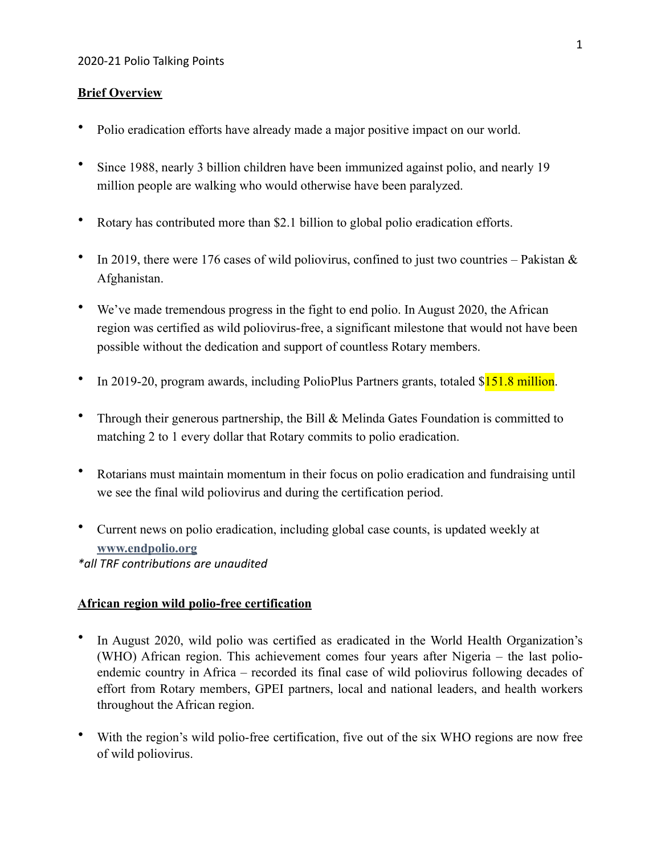#### **Brief Overview**

- Polio eradication efforts have already made a major positive impact on our world.
- Since 1988, nearly 3 billion children have been immunized against polio, and nearly 19 million people are walking who would otherwise have been paralyzed.
- Rotary has contributed more than \$2.1 billion to global polio eradication efforts.
- In 2019, there were 176 cases of wild poliovirus, confined to just two countries Pakistan  $\&$ Afghanistan.
- We've made tremendous progress in the fight to end polio. In August 2020, the African region was certified as wild poliovirus-free, a significant milestone that would not have been possible without the dedication and support of countless Rotary members.
- In 2019-20, program awards, including PolioPlus Partners grants, totaled \$151.8 million.
- Through their generous partnership, the Bill & Melinda Gates Foundation is committed to matching 2 to 1 every dollar that Rotary commits to polio eradication.
- Rotarians must maintain momentum in their focus on polio eradication and fundraising until we see the final wild poliovirus and during the certification period.
- Current news on polio eradication, including global case counts, is updated weekly at **[www.endpolio.org](http://www.endpolio.org)** *\*all TRF contribu0ons are unaudited*

### **African region wild polio-free certification**

- In August 2020, wild polio was certified as eradicated in the World Health Organization's (WHO) African region. This achievement comes four years after Nigeria – the last polioendemic country in Africa – recorded its final case of wild poliovirus following decades of effort from Rotary members, GPEI partners, local and national leaders, and health workers throughout the African region.
- With the region's wild polio-free certification, five out of the six WHO regions are now free of wild poliovirus.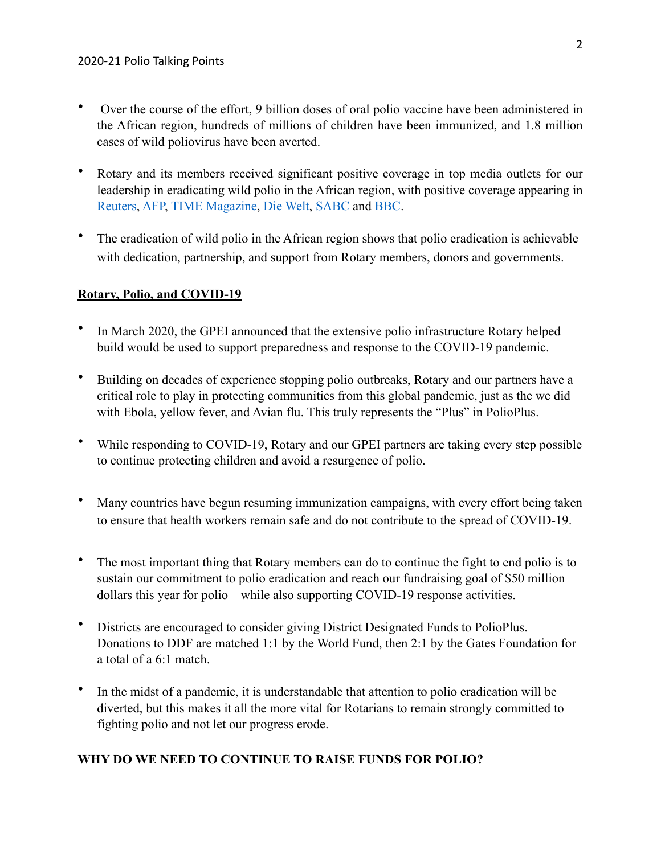- Over the course of the effort, 9 billion doses of oral polio vaccine have been administered in the African region, hundreds of millions of children have been immunized, and 1.8 million cases of wild poliovirus have been averted.
- Rotary and its members received significant positive coverage in top media outlets for our leadership in eradicating wild polio in the African region, with positive coverage appearing in [Reuters,](https://www.reuters.com/article/us-health-polio-africa/wild-polio-sufferers-reflect-as-africa-declared-free-of-the-disease-idUSKBN25L148) [AFP,](https://citizen.co.za/news/news-africa/2348397/africa-to-be-declared-polio-free/) [TIME Magazine](https://t.co/YvSYhNm8db?amp=1), [Die Welt,](https://www.welt.de/debatte/kommentare/article214465232/Virusbekaempfung-Polio-steht-kurz-vor-dem-Aus-Fuer-Corona-koennen-wir-davon-lernen.html) [SABC](https://www.sabcnews.com/sabcnews/africa-declared-wildpolio-free-who/) and [BBC](https://www.bbc.com/news/world-africa-53887947).
- The eradication of wild polio in the African region shows that polio eradication is achievable with dedication, partnership, and support from Rotary members, donors and governments.

## **Rotary, Polio, and COVID-19**

- In March 2020, the GPEI announced that the extensive polio infrastructure Rotary helped build would be used to support preparedness and response to the COVID-19 pandemic.
- Building on decades of experience stopping polio outbreaks, Rotary and our partners have a critical role to play in protecting communities from this global pandemic, just as the we did with Ebola, yellow fever, and Avian flu. This truly represents the "Plus" in PolioPlus.
- While responding to COVID-19, Rotary and our GPEI partners are taking every step possible to continue protecting children and avoid a resurgence of polio.
- Many countries have begun resuming immunization campaigns, with every effort being taken to ensure that health workers remain safe and do not contribute to the spread of COVID-19.
- The most important thing that Rotary members can do to continue the fight to end polio is to sustain our commitment to polio eradication and reach our fundraising goal of \$50 million dollars this year for polio—while also supporting COVID-19 response activities.
- Districts are encouraged to consider giving District Designated Funds to PolioPlus. Donations to DDF are matched 1:1 by the World Fund, then 2:1 by the Gates Foundation for a total of a 6:1 match.
- In the midst of a pandemic, it is understandable that attention to polio eradication will be diverted, but this makes it all the more vital for Rotarians to remain strongly committed to fighting polio and not let our progress erode.

# **WHY DO WE NEED TO CONTINUE TO RAISE FUNDS FOR POLIO?**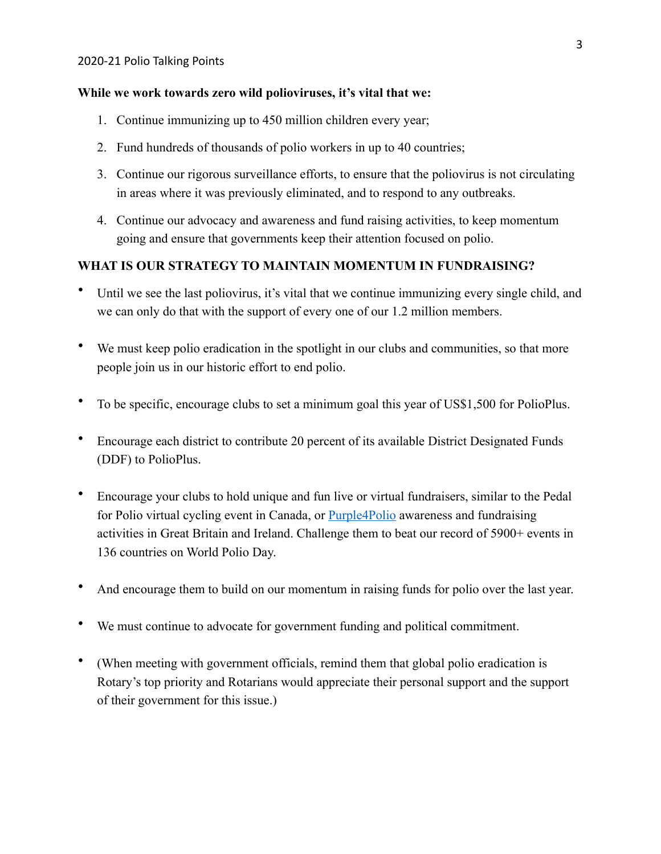### **While we work towards zero wild polioviruses, it's vital that we:**

- 1. Continue immunizing up to 450 million children every year;
- 2. Fund hundreds of thousands of polio workers in up to 40 countries;
- 3. Continue our rigorous surveillance efforts, to ensure that the poliovirus is not circulating in areas where it was previously eliminated, and to respond to any outbreaks.
- 4. Continue our advocacy and awareness and fund raising activities, to keep momentum going and ensure that governments keep their attention focused on polio.

# **WHAT IS OUR STRATEGY TO MAINTAIN MOMENTUM IN FUNDRAISING?**

- Until we see the last poliovirus, it's vital that we continue immunizing every single child, and we can only do that with the support of every one of our 1.2 million members.
- We must keep polio eradication in the spotlight in our clubs and communities, so that more people join us in our historic effort to end polio.
- To be specific, encourage clubs to set a minimum goal this year of US\$1,500 for PolioPlus.
- Encourage each district to contribute 20 percent of its available District Designated Funds (DDF) to PolioPlus.
- Encourage your clubs to hold unique and fun live or virtual fundraisers, similar to the Pedal for Polio virtual cycling event in Canada, or [Purple4Polio](https://www.rotarygbi.org/projects/purple4polio/) awareness and fundraising activities in Great Britain and Ireland. Challenge them to beat our record of 5900+ events in 136 countries on World Polio Day.
- And encourage them to build on our momentum in raising funds for polio over the last year.
- We must continue to advocate for government funding and political commitment.
- (When meeting with government officials, remind them that global polio eradication is Rotary's top priority and Rotarians would appreciate their personal support and the support of their government for this issue.)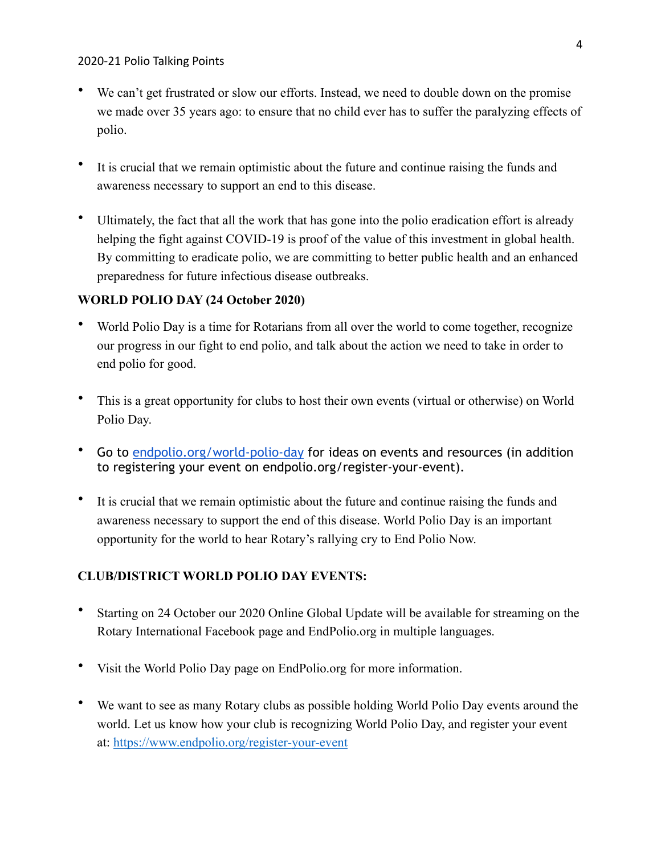- We can't get frustrated or slow our efforts. Instead, we need to double down on the promise we made over 35 years ago: to ensure that no child ever has to suffer the paralyzing effects of polio.
- It is crucial that we remain optimistic about the future and continue raising the funds and awareness necessary to support an end to this disease.
- Ultimately, the fact that all the work that has gone into the polio eradication effort is already helping the fight against COVID-19 is proof of the value of this investment in global health. By committing to eradicate polio, we are committing to better public health and an enhanced preparedness for future infectious disease outbreaks.

## **WORLD POLIO DAY (24 October 2020)**

- World Polio Day is a time for Rotarians from all over the world to come together, recognize our progress in our fight to end polio, and talk about the action we need to take in order to end polio for good.
- This is a great opportunity for clubs to host their own events (virtual or otherwise) on World Polio Day.
- Go to [endpolio.org/](http://endpolio.org/)world-polio-day for ideas on events and resources (in addition to registering your event on endpolio.org/register-your-event).
- It is crucial that we remain optimistic about the future and continue raising the funds and awareness necessary to support the end of this disease. World Polio Day is an important opportunity for the world to hear Rotary's rallying cry to End Polio Now.

# **CLUB/DISTRICT WORLD POLIO DAY EVENTS:**

- Starting on 24 October our 2020 Online Global Update will be available for streaming on the Rotary International Facebook page and EndPolio.org in multiple languages.
- Visit the World Polio Day page on EndPolio.org for more information.
- We want to see as many Rotary clubs as possible holding World Polio Day events around the world. Let us know how your club is recognizing World Polio Day, and register your event at: <https://www.endpolio.org/register-your-event>